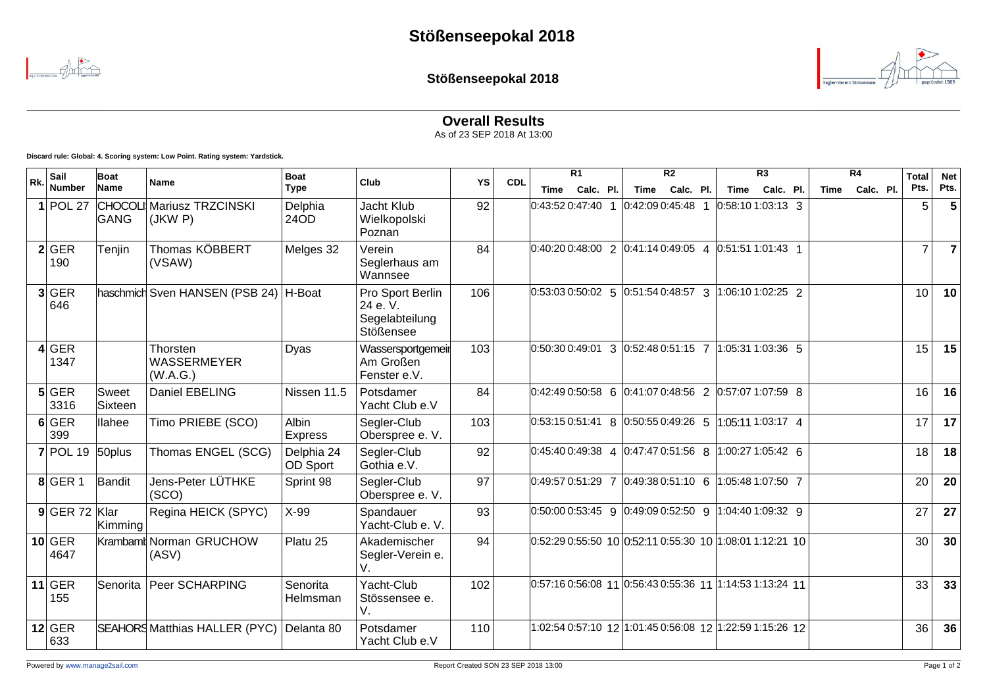

**Stößenseepokal 2018**



**Overall Results**

As of 23 SEP 2018 At 13:00

**Discard rule: Global: 4. Scoring system: Low Point. Rating system: Yardstick.**

|     | Sail             | Boat             | Name                                    | <b>Boat</b><br><b>Type</b> | Club                                                              | YS  |            | R <sub>1</sub>                                                                                                |           |  | R <sub>2</sub>                                           |           |  | R <sub>3</sub>      |           |  | R4   |           | <b>Total</b>    | <b>Net</b> |
|-----|------------------|------------------|-----------------------------------------|----------------------------|-------------------------------------------------------------------|-----|------------|---------------------------------------------------------------------------------------------------------------|-----------|--|----------------------------------------------------------|-----------|--|---------------------|-----------|--|------|-----------|-----------------|------------|
| Rk. | <b>Number</b>    | Name             |                                         |                            |                                                                   |     | <b>CDL</b> | Time                                                                                                          | Calc. Pl. |  | Time                                                     | Calc. Pl. |  | Time                | Calc. Pl. |  | Time | Calc. Pl. | Pts.            | Pts.       |
|     | $1$ POL 27       | GANG             | CHOCOLI Mariusz TRZCINSKI<br>(JKW P)    | Delphia<br>24OD            | Jacht Klub<br>Wielkopolski<br>Poznan                              | 92  |            | $0:43:520:47:40$ 1                                                                                            |           |  | $ 0.42:090:45:48$ 1                                      |           |  | $ 0:58:101:03:13$ 3 |           |  |      |           | 5               | 5          |
|     | 2 GER<br>190     | Tenjin           | Thomas KÖBBERT<br>(VSAW)                | Melges 32                  | Verein<br>Seglerhaus am<br>Wannsee                                | 84  |            | $\vert 0.40:20 \vert 0.48:00 \vert 2 \vert 0.41:14 \vert 0.49:05 \vert 4 \vert 0.51:51 \vert 1.01:43 \vert 1$ |           |  |                                                          |           |  |                     |           |  |      |           | $\overline{7}$  |            |
|     | 3 GER<br>646     |                  | haschmich Sven HANSEN (PSB 24)   H-Boat |                            | Pro Sport Berlin<br>24 e.V.<br>Segelabteilung<br><b>Stößensee</b> | 106 |            | $\vert 0.53.03 \, 0.50.02 \vert 5 \vert 0.51.54 \, 0.48.57 \, 3 \vert 1.06.10 \, 1.02.25 \, 2 \vert$          |           |  |                                                          |           |  |                     |           |  |      |           | 10 <sup>1</sup> | 10         |
|     | $4$ GER<br>1347  |                  | Thorsten<br>WASSERMEYER<br>(W.A.G.)     | Dyas                       | Wassersportgemeir<br>Am Großen<br>Fenster e.V.                    | 103 |            | $\vert 0.50:300:49:01 \vert 3 \vert 0.52:480:51:15 \vert 7 \vert 1.05:311:03:36 \vert 5$                      |           |  |                                                          |           |  |                     |           |  |      |           | 15              | 15         |
|     | $5$ GER<br>3316  | Sweet<br>Sixteen | Daniel EBELING                          | Nissen 11.5                | Potsdamer<br>Yacht Club e.V                                       | 84  |            | $\vert 0.42.49 \vert 0.50.58 \vert 6 \vert 0.41.07 \vert 0.48.56 \vert 2 \vert 0.57.07 \vert 1.07.59 \vert 8$ |           |  |                                                          |           |  |                     |           |  |      |           | 16              | 16         |
|     | $6$ GER<br>399   | llahee           | Timo PRIEBE (SCO)                       | Albin<br>Express           | Segler-Club<br>Oberspree e. V.                                    | 103 |            | $\vert 0.53:15\ 0.51:41\ \vert 8\ \vert 0.50:55\ 0.49:26\ \vert 5\ \vert 1.05:11\ 1.03:17\ \vert 4\ \vert$    |           |  |                                                          |           |  |                     |           |  |      |           | 17              | 17         |
|     | $7$ POL 19       | 50plus           | Thomas ENGEL (SCG)                      | Delphia 24<br>OD Sport     | Segler-Club<br>Gothia e.V.                                        | 92  |            | $\vert 0.45.40\,0.49.38\vert\,4\,\vert 0.47.47\,0.51.56\,8\,\vert 1.00.27\,1.05.42\,6$                        |           |  |                                                          |           |  |                     |           |  |      |           | 18              | 18         |
|     | $8$ GER 1        | Bandit           | Jens-Peter LÜTHKE<br>(SCO)              | Sprint 98                  | Segler-Club<br>Oberspree e. V.                                    | 97  |            | $\vert 0.49.57 \; 0.51.29 \; 7 \vert 0.49.38 \; 0.51.10 \; 6 \vert 1.05.48 \; 1.07.50 \; 7 \vert$             |           |  |                                                          |           |  |                     |           |  |      |           | 20              | 20         |
|     | $9$ GER 72 Klar  | Kimming          | Regina HEICK (SPYC)                     | X-99                       | Spandauer<br>Yacht-Club e. V.                                     | 93  |            | $\vert 0.50.00 0.53.45 \vert 9 \vert 0.49.09 0.52.50 \vert 9 \vert 1.04.40 1.09.32 \vert 9 \vert$             |           |  |                                                          |           |  |                     |           |  |      |           | 27              | 27         |
|     | $10$ GER<br>4647 |                  | Krambamt Norman GRUCHOW<br>(ASV)        | Platu 25                   | Akademischer<br>Segler-Verein e.<br>V.                            | 94  |            | $0.52:290:55:50100:52:110:55:30101:1:08:011:12:2110$                                                          |           |  |                                                          |           |  |                     |           |  |      |           | 30              | 30         |
|     | $11$ GER<br>155  | Senorita         | Peer SCHARPING                          | Senorita<br>Helmsman       | Yacht-Club<br>Stössensee e.<br>V.                                 | 102 |            | $0.57:160:56:08$ 11 $0.56:430:55:36$ 11 $1:14:531:13:24$ 11                                                   |           |  |                                                          |           |  |                     |           |  |      |           | 33              | 33         |
|     | $12$ GER<br>633  |                  | SEAHORS Matthias HALLER (PYC)           | Delanta 80                 | Potsdamer<br>Yacht Club e.V                                       | 110 |            |                                                                                                               |           |  | 1:02:54 0:57:10 12 1:01:45 0:56:08 12 1:22:59 1:15:26 12 |           |  |                     |           |  |      |           | 36              | 36         |